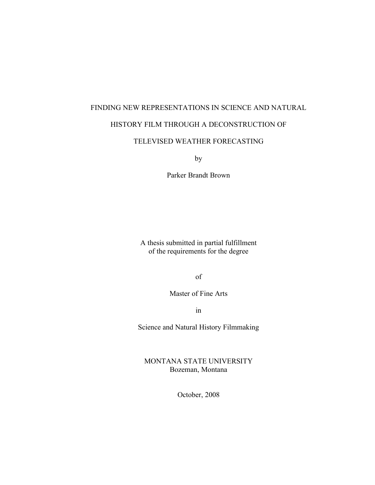# FINDING NEW REPRESENTATIONS IN SCIENCE AND NATURAL

# HISTORY FILM THROUGH A DECONSTRUCTION OF

# TELEVISED WEATHER FORECASTING

by

Parker Brandt Brown

A thesis submitted in partial fulfillment of the requirements for the degree

of

Master of Fine Arts

in

Science and Natural History Filmmaking

MONTANA STATE UNIVERSITY Bozeman, Montana

October, 2008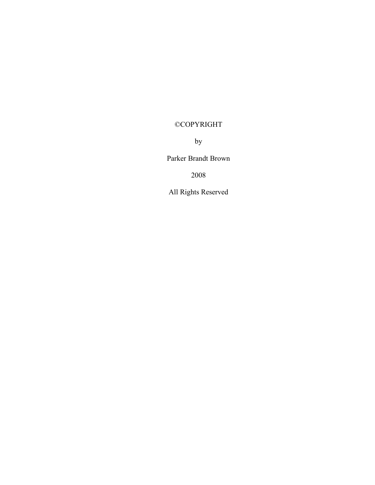# ©COPYRIGHT

by

Parker Brandt Brown

2008

All Rights Reserved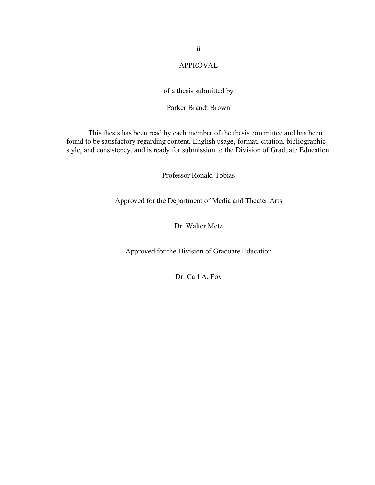# APPROVAL

# of a thesis submitted by

# Parker Brandt Brown

This thesis has been read by each member of the thesis committee and has been found to be satisfactory regarding content, English usage, format, citation, bibliographic style, and consistency, and is ready for submission to the Division of Graduate Education.

Professor Ronald Tobias

Approved for the Department of Media and Theater Arts

Dr. Walter Metz

Approved for the Division of Graduate Education

Dr. Carl A. Fox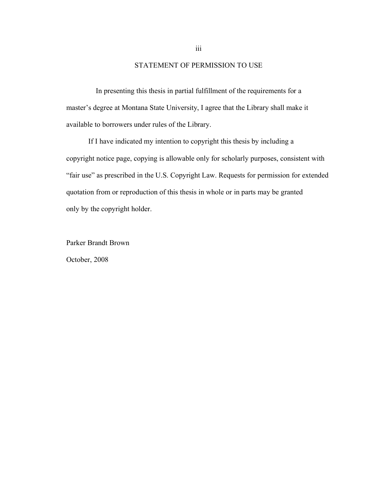# STATEMENT OF PERMISSION TO USE

In presenting this thesis in partial fulfillment of the requirements for a master's degree at Montana State University, I agree that the Library shall make it available to borrowers under rules of the Library.

If I have indicated my intention to copyright this thesis by including a copyright notice page, copying is allowable only for scholarly purposes, consistent with "fair use" as prescribed in the U.S. Copyright Law. Requests for permission for extended quotation from or reproduction of this thesis in whole or in parts may be granted only by the copyright holder.

Parker Brandt Brown October, 2008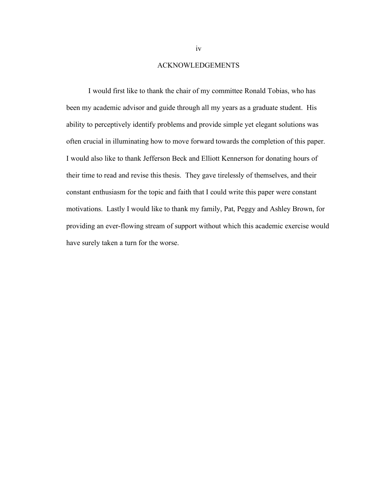#### ACKNOWLEDGEMENTS

I would first like to thank the chair of my committee Ronald Tobias, who has been my academic advisor and guide through all my years as a graduate student. His ability to perceptively identify problems and provide simple yet elegant solutions was often crucial in illuminating how to move forward towards the completion of this paper. I would also like to thank Jefferson Beck and Elliott Kennerson for donating hours of their time to read and revise this thesis. They gave tirelessly of themselves, and their constant enthusiasm for the topic and faith that I could write this paper were constant motivations. Lastly I would like to thank my family, Pat, Peggy and Ashley Brown, for providing an ever-flowing stream of support without which this academic exercise would have surely taken a turn for the worse.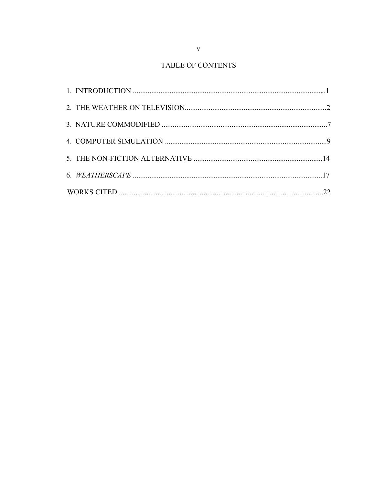# TABLE OF CONTENTS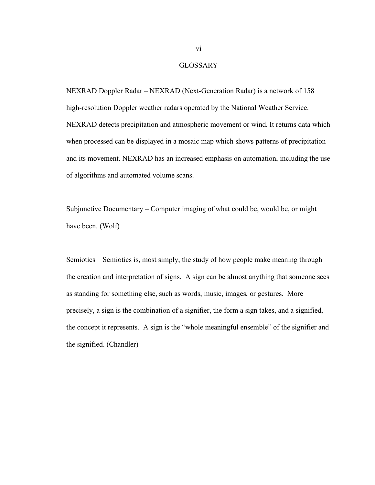# **GLOSSARY**

NEXRAD Doppler Radar – NEXRAD (Next-Generation Radar) is a network of 158 high-resolution Doppler weather radars operated by the National Weather Service. NEXRAD detects precipitation and atmospheric movement or wind. It returns data which when processed can be displayed in a mosaic map which shows patterns of precipitation and its movement. NEXRAD has an increased emphasis on automation, including the use of algorithms and automated volume scans.

Subjunctive Documentary – Computer imaging of what could be, would be, or might have been. (Wolf)

Semiotics – Semiotics is, most simply, the study of how people make meaning through the creation and interpretation of signs. A sign can be almost anything that someone sees as standing for something else, such as words, music, images, or gestures. More precisely, a sign is the combination of a signifier, the form a sign takes, and a signified, the concept it represents. A sign is the "whole meaningful ensemble" of the signifier and the signified. (Chandler)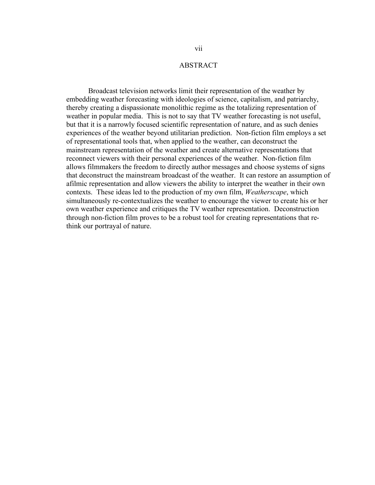# ABSTRACT

Broadcast television networks limit their representation of the weather by embedding weather forecasting with ideologies of science, capitalism, and patriarchy, thereby creating a dispassionate monolithic regime as the totalizing representation of weather in popular media. This is not to say that TV weather forecasting is not useful, but that it is a narrowly focused scientific representation of nature, and as such denies experiences of the weather beyond utilitarian prediction. Non-fiction film employs a set of representational tools that, when applied to the weather, can deconstruct the mainstream representation of the weather and create alternative representations that reconnect viewers with their personal experiences of the weather. Non-fiction film allows filmmakers the freedom to directly author messages and choose systems of signs that deconstruct the mainstream broadcast of the weather. It can restore an assumption of afilmic representation and allow viewers the ability to interpret the weather in their own contexts. These ideas led to the production of my own film, *Weatherscape*, which simultaneously re-contextualizes the weather to encourage the viewer to create his or her own weather experience and critiques the TV weather representation. Deconstruction through non-fiction film proves to be a robust tool for creating representations that rethink our portrayal of nature.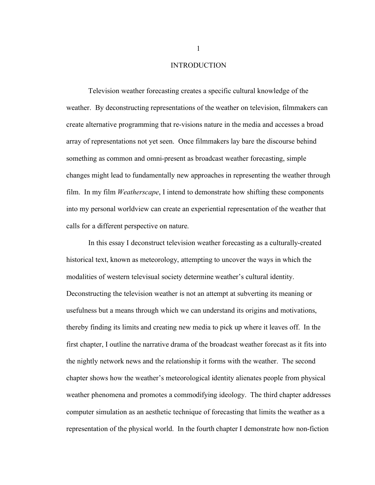### INTRODUCTION

Television weather forecasting creates a specific cultural knowledge of the weather. By deconstructing representations of the weather on television, filmmakers can create alternative programming that re-visions nature in the media and accesses a broad array of representations not yet seen. Once filmmakers lay bare the discourse behind something as common and omni-present as broadcast weather forecasting, simple changes might lead to fundamentally new approaches in representing the weather through film. In my film *Weatherscape*, I intend to demonstrate how shifting these components into my personal worldview can create an experiential representation of the weather that calls for a different perspective on nature.

In this essay I deconstruct television weather forecasting as a culturally-created historical text, known as meteorology, attempting to uncover the ways in which the modalities of western televisual society determine weather's cultural identity. Deconstructing the television weather is not an attempt at subverting its meaning or usefulness but a means through which we can understand its origins and motivations, thereby finding its limits and creating new media to pick up where it leaves off. In the first chapter, I outline the narrative drama of the broadcast weather forecast as it fits into the nightly network news and the relationship it forms with the weather. The second chapter shows how the weather's meteorological identity alienates people from physical weather phenomena and promotes a commodifying ideology. The third chapter addresses computer simulation as an aesthetic technique of forecasting that limits the weather as a representation of the physical world. In the fourth chapter I demonstrate how non-fiction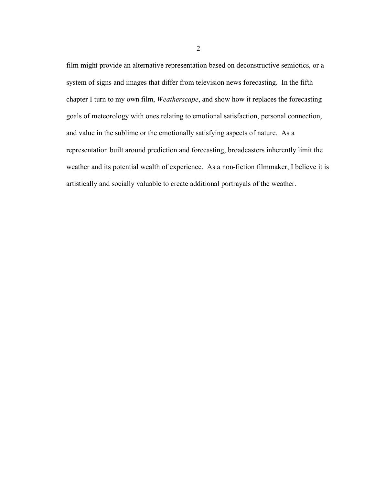film might provide an alternative representation based on deconstructive semiotics, or a system of signs and images that differ from television news forecasting. In the fifth chapter I turn to my own film, *Weatherscape*, and show how it replaces the forecasting goals of meteorology with ones relating to emotional satisfaction, personal connection, and value in the sublime or the emotionally satisfying aspects of nature. As a representation built around prediction and forecasting, broadcasters inherently limit the weather and its potential wealth of experience. As a non-fiction filmmaker, I believe it is artistically and socially valuable to create additional portrayals of the weather.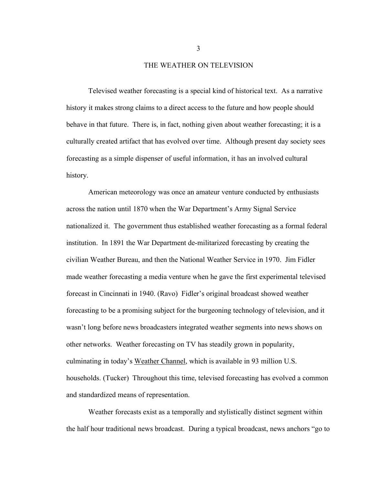#### THE WEATHER ON TELEVISION

Televised weather forecasting is a special kind of historical text. As a narrative history it makes strong claims to a direct access to the future and how people should behave in that future. There is, in fact, nothing given about weather forecasting; it is a culturally created artifact that has evolved over time. Although present day society sees forecasting as a simple dispenser of useful information, it has an involved cultural history.

American meteorology was once an amateur venture conducted by enthusiasts across the nation until 1870 when the War Department's Army Signal Service nationalized it. The government thus established weather forecasting as a formal federal institution. In 1891 the War Department de-militarized forecasting by creating the civilian Weather Bureau, and then the National Weather Service in 1970. Jim Fidler made weather forecasting a media venture when he gave the first experimental televised forecast in Cincinnati in 1940. (Ravo) Fidler's original broadcast showed weather forecasting to be a promising subject for the burgeoning technology of television, and it wasn't long before news broadcasters integrated weather segments into news shows on other networks. Weather forecasting on TV has steadily grown in popularity, culminating in today's Weather Channel, which is available in 93 million U.S. households. (Tucker) Throughout this time, televised forecasting has evolved a common and standardized means of representation.

Weather forecasts exist as a temporally and stylistically distinct segment within the half hour traditional news broadcast. During a typical broadcast, news anchors "go to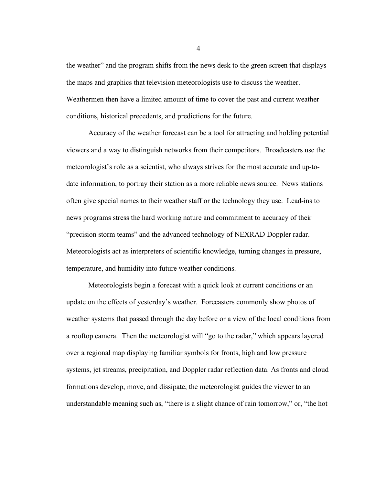the weather" and the program shifts from the news desk to the green screen that displays the maps and graphics that television meteorologists use to discuss the weather. Weathermen then have a limited amount of time to cover the past and current weather conditions, historical precedents, and predictions for the future.

Accuracy of the weather forecast can be a tool for attracting and holding potential viewers and a way to distinguish networks from their competitors. Broadcasters use the meteorologist's role as a scientist, who always strives for the most accurate and up-todate information, to portray their station as a more reliable news source. News stations often give special names to their weather staff or the technology they use. Lead-ins to news programs stress the hard working nature and commitment to accuracy of their "precision storm teams" and the advanced technology of NEXRAD Doppler radar. Meteorologists act as interpreters of scientific knowledge, turning changes in pressure, temperature, and humidity into future weather conditions.

Meteorologists begin a forecast with a quick look at current conditions or an update on the effects of yesterday's weather. Forecasters commonly show photos of weather systems that passed through the day before or a view of the local conditions from a rooftop camera. Then the meteorologist will "go to the radar," which appears layered over a regional map displaying familiar symbols for fronts, high and low pressure systems, jet streams, precipitation, and Doppler radar reflection data. As fronts and cloud formations develop, move, and dissipate, the meteorologist guides the viewer to an understandable meaning such as, "there is a slight chance of rain tomorrow," or, "the hot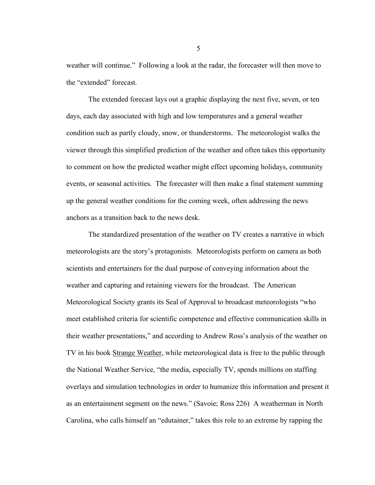weather will continue." Following a look at the radar, the forecaster will then move to the "extended" forecast.

The extended forecast lays out a graphic displaying the next five, seven, or ten days, each day associated with high and low temperatures and a general weather condition such as partly cloudy, snow, or thunderstorms. The meteorologist walks the viewer through this simplified prediction of the weather and often takes this opportunity to comment on how the predicted weather might effect upcoming holidays, community events, or seasonal activities. The forecaster will then make a final statement summing up the general weather conditions for the coming week, often addressing the news anchors as a transition back to the news desk.

The standardized presentation of the weather on TV creates a narrative in which meteorologists are the story's protagonists. Meteorologists perform on camera as both scientists and entertainers for the dual purpose of conveying information about the weather and capturing and retaining viewers for the broadcast. The American Meteorological Society grants its Seal of Approval to broadcast meteorologists "who meet established criteria for scientific competence and effective communication skills in their weather presentations," and according to Andrew Ross's analysis of the weather on TV in his book Strange Weather, while meteorological data is free to the public through the National Weather Service, "the media, especially TV, spends millions on staffing overlays and simulation technologies in order to humanize this information and present it as an entertainment segment on the news." (Savoie; Ross 226) A weatherman in North Carolina, who calls himself an "edutainer," takes this role to an extreme by rapping the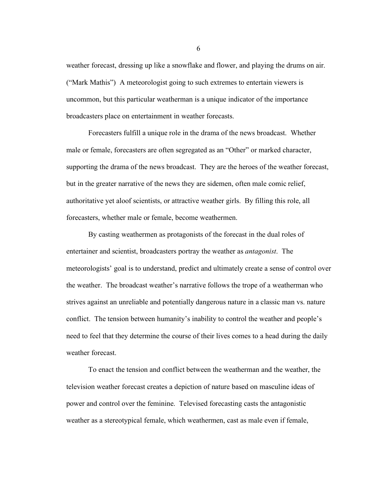weather forecast, dressing up like a snowflake and flower, and playing the drums on air. ("Mark Mathis") A meteorologist going to such extremes to entertain viewers is uncommon, but this particular weatherman is a unique indicator of the importance broadcasters place on entertainment in weather forecasts.

Forecasters fulfill a unique role in the drama of the news broadcast. Whether male or female, forecasters are often segregated as an "Other" or marked character, supporting the drama of the news broadcast. They are the heroes of the weather forecast, but in the greater narrative of the news they are sidemen, often male comic relief, authoritative yet aloof scientists, or attractive weather girls. By filling this role, all forecasters, whether male or female, become weathermen.

By casting weathermen as protagonists of the forecast in the dual roles of entertainer and scientist, broadcasters portray the weather as *antagonist*. The meteorologists' goal is to understand, predict and ultimately create a sense of control over the weather. The broadcast weather's narrative follows the trope of a weatherman who strives against an unreliable and potentially dangerous nature in a classic man vs. nature conflict. The tension between humanity's inability to control the weather and people's need to feel that they determine the course of their lives comes to a head during the daily weather forecast.

To enact the tension and conflict between the weatherman and the weather, the television weather forecast creates a depiction of nature based on masculine ideas of power and control over the feminine. Televised forecasting casts the antagonistic weather as a stereotypical female, which weathermen, cast as male even if female,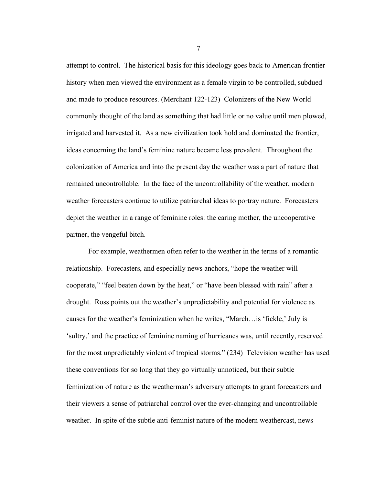attempt to control. The historical basis for this ideology goes back to American frontier history when men viewed the environment as a female virgin to be controlled, subdued and made to produce resources. (Merchant 122-123) Colonizers of the New World commonly thought of the land as something that had little or no value until men plowed, irrigated and harvested it. As a new civilization took hold and dominated the frontier, ideas concerning the land's feminine nature became less prevalent. Throughout the colonization of America and into the present day the weather was a part of nature that remained uncontrollable. In the face of the uncontrollability of the weather, modern weather forecasters continue to utilize patriarchal ideas to portray nature. Forecasters depict the weather in a range of feminine roles: the caring mother, the uncooperative partner, the vengeful bitch.

For example, weathermen often refer to the weather in the terms of a romantic relationship. Forecasters, and especially news anchors, "hope the weather will cooperate," "feel beaten down by the heat," or "have been blessed with rain" after a drought. Ross points out the weather's unpredictability and potential for violence as causes for the weather's feminization when he writes, "March…is 'fickle,' July is 'sultry,' and the practice of feminine naming of hurricanes was, until recently, reserved for the most unpredictably violent of tropical storms." (234) Television weather has used these conventions for so long that they go virtually unnoticed, but their subtle feminization of nature as the weatherman's adversary attempts to grant forecasters and their viewers a sense of patriarchal control over the ever-changing and uncontrollable weather. In spite of the subtle anti-feminist nature of the modern weathercast, news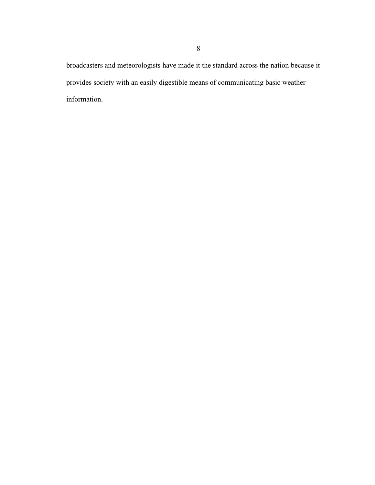broadcasters and meteorologists have made it the standard across the nation because it provides society with an easily digestible means of communicating basic weather information.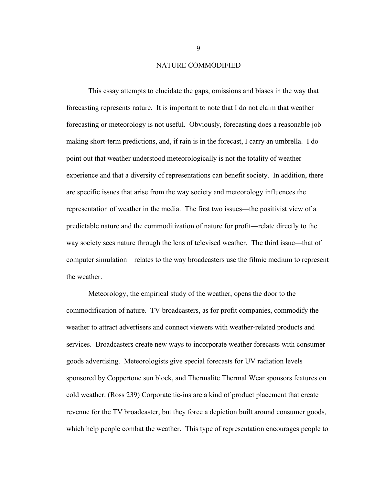#### NATURE COMMODIFIED

This essay attempts to elucidate the gaps, omissions and biases in the way that forecasting represents nature. It is important to note that I do not claim that weather forecasting or meteorology is not useful. Obviously, forecasting does a reasonable job making short-term predictions, and, if rain is in the forecast, I carry an umbrella. I do point out that weather understood meteorologically is not the totality of weather experience and that a diversity of representations can benefit society. In addition, there are specific issues that arise from the way society and meteorology influences the representation of weather in the media. The first two issues—the positivist view of a predictable nature and the commoditization of nature for profit—relate directly to the way society sees nature through the lens of televised weather. The third issue—that of computer simulation—relates to the way broadcasters use the filmic medium to represent the weather.

Meteorology, the empirical study of the weather, opens the door to the commodification of nature. TV broadcasters, as for profit companies, commodify the weather to attract advertisers and connect viewers with weather-related products and services. Broadcasters create new ways to incorporate weather forecasts with consumer goods advertising. Meteorologists give special forecasts for UV radiation levels sponsored by Coppertone sun block, and Thermalite Thermal Wear sponsors features on cold weather. (Ross 239) Corporate tie-ins are a kind of product placement that create revenue for the TV broadcaster, but they force a depiction built around consumer goods, which help people combat the weather. This type of representation encourages people to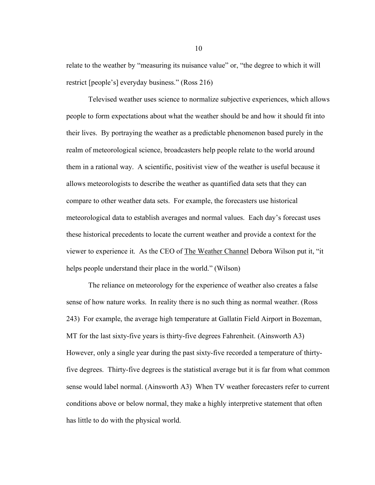relate to the weather by "measuring its nuisance value" or, "the degree to which it will restrict [people's] everyday business." (Ross 216)

Televised weather uses science to normalize subjective experiences, which allows people to form expectations about what the weather should be and how it should fit into their lives. By portraying the weather as a predictable phenomenon based purely in the realm of meteorological science, broadcasters help people relate to the world around them in a rational way. A scientific, positivist view of the weather is useful because it allows meteorologists to describe the weather as quantified data sets that they can compare to other weather data sets. For example, the forecasters use historical meteorological data to establish averages and normal values. Each day's forecast uses these historical precedents to locate the current weather and provide a context for the viewer to experience it. As the CEO of The Weather Channel Debora Wilson put it, "it helps people understand their place in the world." (Wilson)

The reliance on meteorology for the experience of weather also creates a false sense of how nature works. In reality there is no such thing as normal weather. (Ross 243) For example, the average high temperature at Gallatin Field Airport in Bozeman, MT for the last sixty-five years is thirty-five degrees Fahrenheit. (Ainsworth A3) However, only a single year during the past sixty-five recorded a temperature of thirtyfive degrees. Thirty-five degrees is the statistical average but it is far from what common sense would label normal. (Ainsworth A3) When TV weather forecasters refer to current conditions above or below normal, they make a highly interpretive statement that often has little to do with the physical world.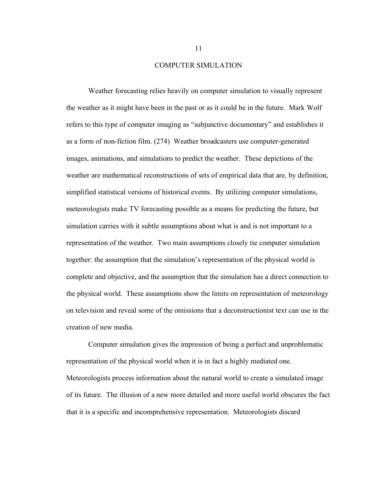### COMPUTER SIMULATION

Weather forecasting relies heavily on computer simulation to visually represent the weather as it might have been in the past or as it could be in the future. Mark Wolf refers to this type of computer imaging as "subjunctive documentary" and establishes it as a form of non-fiction film. (274) Weather broadcasters use computer-generated images, animations, and simulations to predict the weather. These depictions of the weather are mathematical reconstructions of sets of empirical data that are, by definition, simplified statistical versions of historical events. By utilizing computer simulations, meteorologists make TV forecasting possible as a means for predicting the future, but simulation carries with it subtle assumptions about what is and is not important to a representation of the weather. Two main assumptions closely tie computer simulation together: the assumption that the simulation's representation of the physical world is complete and objective, and the assumption that the simulation has a direct connection to the physical world. These assumptions show the limits on representation of meteorology on television and reveal some of the omissions that a deconstructionist text can use in the creation of new media.

Computer simulation gives the impression of being a perfect and unproblematic representation of the physical world when it is in fact a highly mediated one. Meteorologists process information about the natural world to create a simulated image of its future. The illusion of a new more detailed and more useful world obscures the fact that it is a specific and incomprehensive representation. Meteorologists discard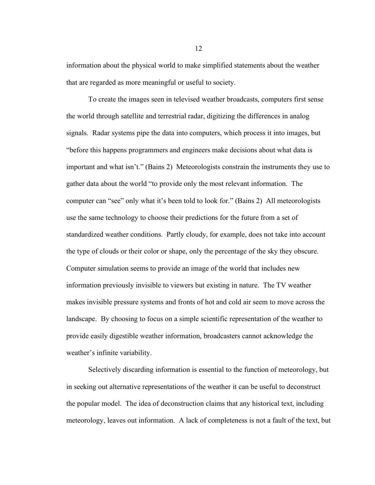information about the physical world to make simplified statements about the weather that are regarded as more meaningful or useful to society.

To create the images seen in televised weather broadcasts, computers first sense the world through satellite and terrestrial radar, digitizing the differences in analog signals. Radar systems pipe the data into computers, which process it into images, but "before this happens programmers and engineers make decisions about what data is important and what isn't." (Bains 2) Meteorologists constrain the instruments they use to gather data about the world "to provide only the most relevant information. The computer can "see" only what it's been told to look for." (Bains 2) All meteorologists use the same technology to choose their predictions for the future from a set of standardized weather conditions. Partly cloudy, for example, does not take into account the type of clouds or their color or shape, only the percentage of the sky they obscure. Computer simulation seems to provide an image of the world that includes new information previously invisible to viewers but existing in nature. The TV weather makes invisible pressure systems and fronts of hot and cold air seem to move across the landscape. By choosing to focus on a simple scientific representation of the weather to provide easily digestible weather information, broadcasters cannot acknowledge the weather's infinite variability.

Selectively discarding information is essential to the function of meteorology, but in seeking out alternative representations of the weather it can be useful to deconstruct the popular model. The idea of deconstruction claims that any historical text, including meteorology, leaves out information. A lack of completeness is not a fault of the text, but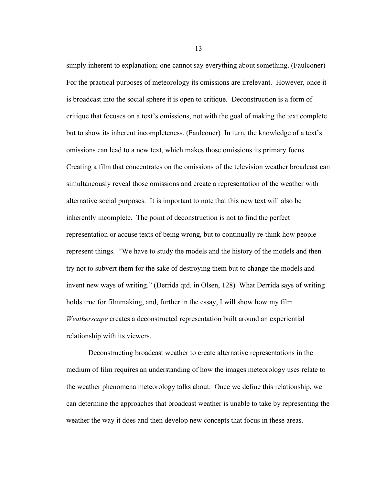simply inherent to explanation; one cannot say everything about something. (Faulconer) For the practical purposes of meteorology its omissions are irrelevant. However, once it is broadcast into the social sphere it is open to critique. Deconstruction is a form of critique that focuses on a text's omissions, not with the goal of making the text complete but to show its inherent incompleteness. (Faulconer) In turn, the knowledge of a text's omissions can lead to a new text, which makes those omissions its primary focus. Creating a film that concentrates on the omissions of the television weather broadcast can simultaneously reveal those omissions and create a representation of the weather with alternative social purposes. It is important to note that this new text will also be inherently incomplete. The point of deconstruction is not to find the perfect representation or accuse texts of being wrong, but to continually re-think how people represent things. "We have to study the models and the history of the models and then try not to subvert them for the sake of destroying them but to change the models and invent new ways of writing." (Derrida qtd. in Olsen, 128) What Derrida says of writing holds true for filmmaking, and, further in the essay, I will show how my film *Weatherscape* creates a deconstructed representation built around an experiential relationship with its viewers.

Deconstructing broadcast weather to create alternative representations in the medium of film requires an understanding of how the images meteorology uses relate to the weather phenomena meteorology talks about. Once we define this relationship, we can determine the approaches that broadcast weather is unable to take by representing the weather the way it does and then develop new concepts that focus in these areas.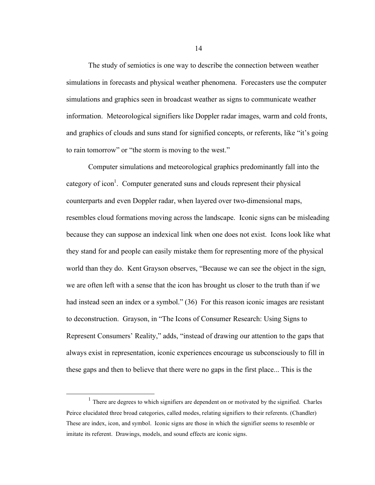The study of semiotics is one way to describe the connection between weather simulations in forecasts and physical weather phenomena. Forecasters use the computer simulations and graphics seen in broadcast weather as signs to communicate weather information. Meteorological signifiers like Doppler radar images, warm and cold fronts, and graphics of clouds and suns stand for signified concepts, or referents, like "it's going to rain tomorrow" or "the storm is moving to the west."

Computer simulations and meteorological graphics predominantly fall into the category of icon<sup>1</sup>. Computer generated suns and clouds represent their physical counterparts and even Doppler radar, when layered over two-dimensional maps, resembles cloud formations moving across the landscape. Iconic signs can be misleading because they can suppose an indexical link when one does not exist. Icons look like what they stand for and people can easily mistake them for representing more of the physical world than they do. Kent Grayson observes, "Because we can see the object in the sign, we are often left with a sense that the icon has brought us closer to the truth than if we had instead seen an index or a symbol." (36) For this reason iconic images are resistant to deconstruction. Grayson, in "The Icons of Consumer Research: Using Signs to Represent Consumers' Reality," adds, "instead of drawing our attention to the gaps that always exist in representation, iconic experiences encourage us subconsciously to fill in these gaps and then to believe that there were no gaps in the first place... This is the

 $<sup>1</sup>$  There are degrees to which signifiers are dependent on or motivated by the signified. Charles</sup> Peirce elucidated three broad categories, called modes, relating signifiers to their referents. (Chandler) These are index, icon, and symbol. Iconic signs are those in which the signifier seems to resemble or imitate its referent. Drawings, models, and sound effects are iconic signs.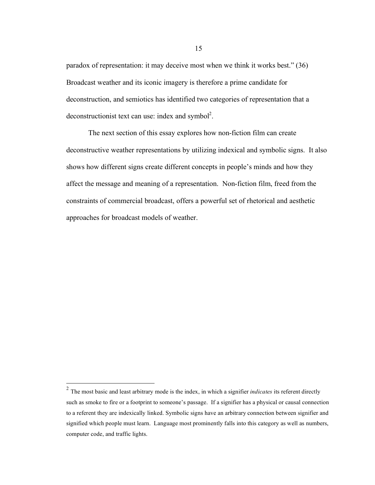paradox of representation: it may deceive most when we think it works best." (36) Broadcast weather and its iconic imagery is therefore a prime candidate for deconstruction, and semiotics has identified two categories of representation that a deconstructionist text can use: index and symbol<sup>2</sup>.

The next section of this essay explores how non-fiction film can create deconstructive weather representations by utilizing indexical and symbolic signs. It also shows how different signs create different concepts in people's minds and how they affect the message and meaning of a representation. Non-fiction film, freed from the constraints of commercial broadcast, offers a powerful set of rhetorical and aesthetic approaches for broadcast models of weather.

 <sup>2</sup> The most basic and least arbitrary mode is the index, in which a signifier *indicates* its referent directly such as smoke to fire or a footprint to someone's passage. If a signifier has a physical or causal connection to a referent they are indexically linked. Symbolic signs have an arbitrary connection between signifier and signified which people must learn. Language most prominently falls into this category as well as numbers, computer code, and traffic lights.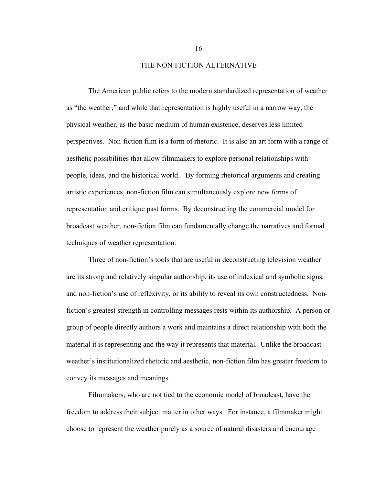### THE NON-FICTION ALTERNATIVE

The American public refers to the modern standardized representation of weather as "the weather," and while that representation is highly useful in a narrow way, the physical weather, as the basic medium of human existence, deserves less limited perspectives. Non-fiction film is a form of rhetoric. It is also an art form with a range of aesthetic possibilities that allow filmmakers to explore personal relationships with people, ideas, and the historical world. By forming rhetorical arguments and creating artistic experiences, non-fiction film can simultaneously explore new forms of representation and critique past forms. By deconstructing the commercial model for broadcast weather, non-fiction film can fundamentally change the narratives and formal techniques of weather representation.

Three of non-fiction's tools that are useful in deconstructing television weather are its strong and relatively singular authorship, its use of indexical and symbolic signs, and non-fiction's use of reflexivity, or its ability to reveal its own constructedness. Nonfiction's greatest strength in controlling messages rests within its authorship. A person or group of people directly authors a work and maintains a direct relationship with both the material it is representing and the way it represents that material. Unlike the broadcast weather's institutionalized rhetoric and aesthetic, non-fiction film has greater freedom to convey its messages and meanings.

Filmmakers, who are not tied to the economic model of broadcast, have the freedom to address their subject matter in other ways. For instance, a filmmaker might choose to represent the weather purely as a source of natural disasters and encourage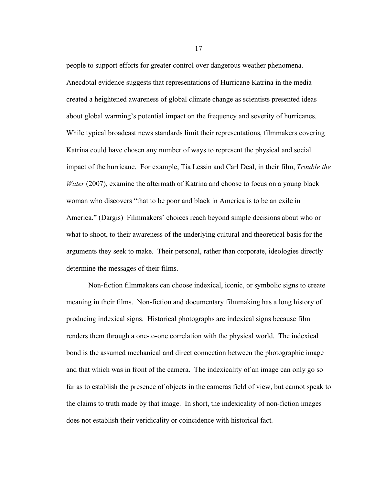people to support efforts for greater control over dangerous weather phenomena. Anecdotal evidence suggests that representations of Hurricane Katrina in the media created a heightened awareness of global climate change as scientists presented ideas about global warming's potential impact on the frequency and severity of hurricanes. While typical broadcast news standards limit their representations, filmmakers covering Katrina could have chosen any number of ways to represent the physical and social impact of the hurricane. For example, Tia Lessin and Carl Deal, in their film, *Trouble the Water* (2007), examine the aftermath of Katrina and choose to focus on a young black woman who discovers "that to be poor and black in America is to be an exile in America." (Dargis) Filmmakers' choices reach beyond simple decisions about who or what to shoot, to their awareness of the underlying cultural and theoretical basis for the arguments they seek to make. Their personal, rather than corporate, ideologies directly determine the messages of their films.

Non-fiction filmmakers can choose indexical, iconic, or symbolic signs to create meaning in their films. Non-fiction and documentary filmmaking has a long history of producing indexical signs. Historical photographs are indexical signs because film renders them through a one-to-one correlation with the physical world. The indexical bond is the assumed mechanical and direct connection between the photographic image and that which was in front of the camera. The indexicality of an image can only go so far as to establish the presence of objects in the cameras field of view, but cannot speak to the claims to truth made by that image. In short, the indexicality of non-fiction images does not establish their veridicality or coincidence with historical fact.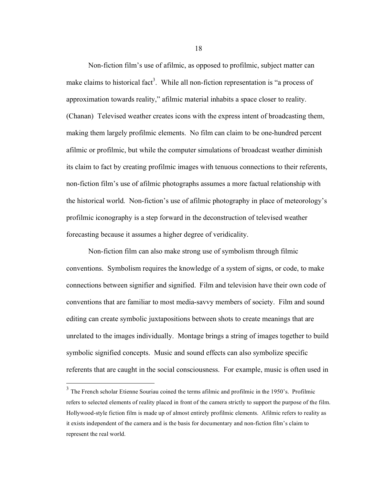Non-fiction film's use of afilmic, as opposed to profilmic, subject matter can make claims to historical fact<sup>3</sup>. While all non-fiction representation is "a process of approximation towards reality," afilmic material inhabits a space closer to reality. (Chanan) Televised weather creates icons with the express intent of broadcasting them, making them largely profilmic elements. No film can claim to be one-hundred percent afilmic or profilmic, but while the computer simulations of broadcast weather diminish its claim to fact by creating profilmic images with tenuous connections to their referents, non-fiction film's use of afilmic photographs assumes a more factual relationship with the historical world. Non-fiction's use of afilmic photography in place of meteorology's profilmic iconography is a step forward in the deconstruction of televised weather forecasting because it assumes a higher degree of veridicality.

Non-fiction film can also make strong use of symbolism through filmic conventions. Symbolism requires the knowledge of a system of signs, or code, to make connections between signifier and signified. Film and television have their own code of conventions that are familiar to most media-savvy members of society. Film and sound editing can create symbolic juxtapositions between shots to create meanings that are unrelated to the images individually. Montage brings a string of images together to build symbolic signified concepts. Music and sound effects can also symbolize specific referents that are caught in the social consciousness. For example, music is often used in

<sup>&</sup>lt;sup>3</sup> The French scholar Etienne Souriau coined the terms afilmic and profilmic in the 1950's. Profilmic refers to selected elements of reality placed in front of the camera strictly to support the purpose of the film. Hollywood-style fiction film is made up of almost entirely profilmic elements. Afilmic refers to reality as it exists independent of the camera and is the basis for documentary and non-fiction film's claim to represent the real world.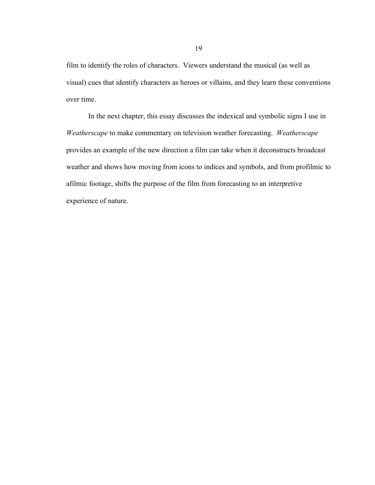film to identify the roles of characters. Viewers understand the musical (as well as visual) cues that identify characters as heroes or villains, and they learn these conventions over time.

In the next chapter, this essay discusses the indexical and symbolic signs I use in *Weatherscape* to make commentary on television weather forecasting. *Weatherscape* provides an example of the new direction a film can take when it deconstructs broadcast weather and shows how moving from icons to indices and symbols, and from profilmic to afilmic footage, shifts the purpose of the film from forecasting to an interpretive experience of nature.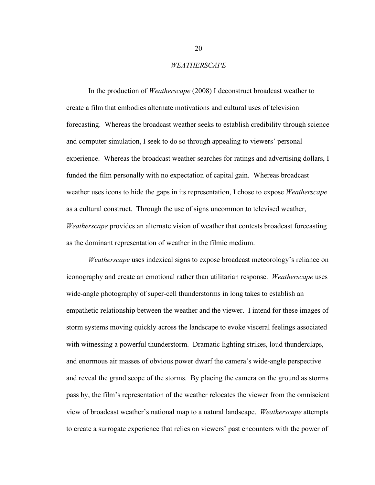### *WEATHERSCAPE*

In the production of *Weatherscape* (2008) I deconstruct broadcast weather to create a film that embodies alternate motivations and cultural uses of television forecasting. Whereas the broadcast weather seeks to establish credibility through science and computer simulation, I seek to do so through appealing to viewers' personal experience. Whereas the broadcast weather searches for ratings and advertising dollars, I funded the film personally with no expectation of capital gain. Whereas broadcast weather uses icons to hide the gaps in its representation, I chose to expose *Weatherscape* as a cultural construct. Through the use of signs uncommon to televised weather, *Weatherscape* provides an alternate vision of weather that contests broadcast forecasting as the dominant representation of weather in the filmic medium.

*Weatherscape* uses indexical signs to expose broadcast meteorology's reliance on iconography and create an emotional rather than utilitarian response. *Weatherscape* uses wide-angle photography of super-cell thunderstorms in long takes to establish an empathetic relationship between the weather and the viewer. I intend for these images of storm systems moving quickly across the landscape to evoke visceral feelings associated with witnessing a powerful thunderstorm. Dramatic lighting strikes, loud thunderclaps, and enormous air masses of obvious power dwarf the camera's wide-angle perspective and reveal the grand scope of the storms. By placing the camera on the ground as storms pass by, the film's representation of the weather relocates the viewer from the omniscient view of broadcast weather's national map to a natural landscape. *Weatherscape* attempts to create a surrogate experience that relies on viewers' past encounters with the power of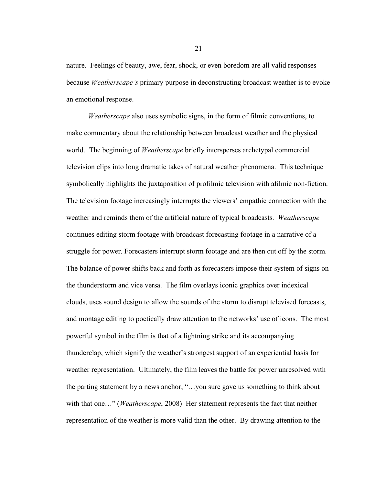nature. Feelings of beauty, awe, fear, shock, or even boredom are all valid responses because *Weatherscape's* primary purpose in deconstructing broadcast weather is to evoke an emotional response.

*Weatherscape* also uses symbolic signs, in the form of filmic conventions, to make commentary about the relationship between broadcast weather and the physical world. The beginning of *Weatherscape* briefly intersperses archetypal commercial television clips into long dramatic takes of natural weather phenomena. This technique symbolically highlights the juxtaposition of profilmic television with afilmic non-fiction. The television footage increasingly interrupts the viewers' empathic connection with the weather and reminds them of the artificial nature of typical broadcasts. *Weatherscape* continues editing storm footage with broadcast forecasting footage in a narrative of a struggle for power. Forecasters interrupt storm footage and are then cut off by the storm. The balance of power shifts back and forth as forecasters impose their system of signs on the thunderstorm and vice versa. The film overlays iconic graphics over indexical clouds, uses sound design to allow the sounds of the storm to disrupt televised forecasts, and montage editing to poetically draw attention to the networks' use of icons. The most powerful symbol in the film is that of a lightning strike and its accompanying thunderclap, which signify the weather's strongest support of an experiential basis for weather representation. Ultimately, the film leaves the battle for power unresolved with the parting statement by a news anchor, "…you sure gave us something to think about with that one…" (*Weatherscape*, 2008) Her statement represents the fact that neither representation of the weather is more valid than the other. By drawing attention to the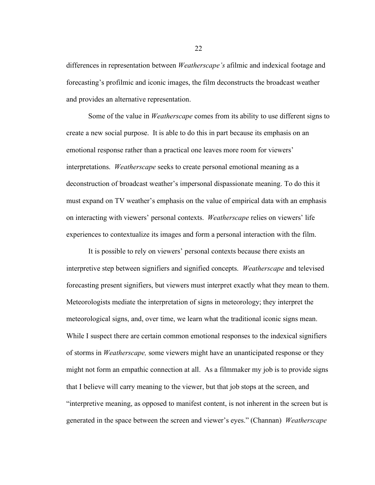differences in representation between *Weatherscape's* afilmic and indexical footage and forecasting's profilmic and iconic images, the film deconstructs the broadcast weather and provides an alternative representation.

Some of the value in *Weatherscape* comes from its ability to use different signs to create a new social purpose. It is able to do this in part because its emphasis on an emotional response rather than a practical one leaves more room for viewers' interpretations. *Weatherscape* seeks to create personal emotional meaning as a deconstruction of broadcast weather's impersonal dispassionate meaning. To do this it must expand on TV weather's emphasis on the value of empirical data with an emphasis on interacting with viewers' personal contexts. *Weatherscape* relies on viewers' life experiences to contextualize its images and form a personal interaction with the film.

It is possible to rely on viewers' personal contexts because there exists an interpretive step between signifiers and signified concepts. *Weatherscape* and televised forecasting present signifiers, but viewers must interpret exactly what they mean to them. Meteorologists mediate the interpretation of signs in meteorology; they interpret the meteorological signs, and, over time, we learn what the traditional iconic signs mean. While I suspect there are certain common emotional responses to the indexical signifiers of storms in *Weatherscape,* some viewers might have an unanticipated response or they might not form an empathic connection at all. As a filmmaker my job is to provide signs that I believe will carry meaning to the viewer, but that job stops at the screen, and "interpretive meaning, as opposed to manifest content, is not inherent in the screen but is generated in the space between the screen and viewer's eyes." (Channan) *Weatherscape*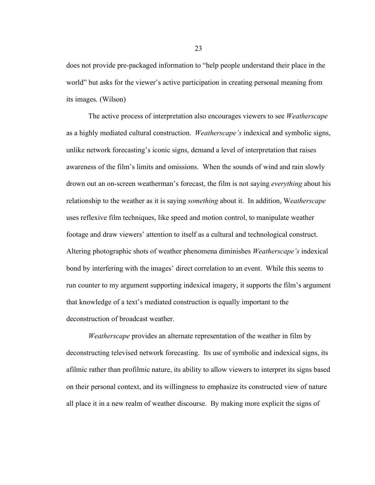does not provide pre-packaged information to "help people understand their place in the world" but asks for the viewer's active participation in creating personal meaning from its images. (Wilson)

The active process of interpretation also encourages viewers to see *Weatherscape*  as a highly mediated cultural construction. *Weatherscape's* indexical and symbolic signs, unlike network forecasting's iconic signs, demand a level of interpretation that raises awareness of the film's limits and omissions. When the sounds of wind and rain slowly drown out an on-screen weatherman's forecast, the film is not saying *everything* about his relationship to the weather as it is saying *something* about it. In addition, W*eatherscape* uses reflexive film techniques, like speed and motion control, to manipulate weather footage and draw viewers' attention to itself as a cultural and technological construct. Altering photographic shots of weather phenomena diminishes *Weatherscape's* indexical bond by interfering with the images' direct correlation to an event. While this seems to run counter to my argument supporting indexical imagery, it supports the film's argument that knowledge of a text's mediated construction is equally important to the deconstruction of broadcast weather.

*Weatherscape* provides an alternate representation of the weather in film by deconstructing televised network forecasting. Its use of symbolic and indexical signs, its afilmic rather than profilmic nature, its ability to allow viewers to interpret its signs based on their personal context, and its willingness to emphasize its constructed view of nature all place it in a new realm of weather discourse. By making more explicit the signs of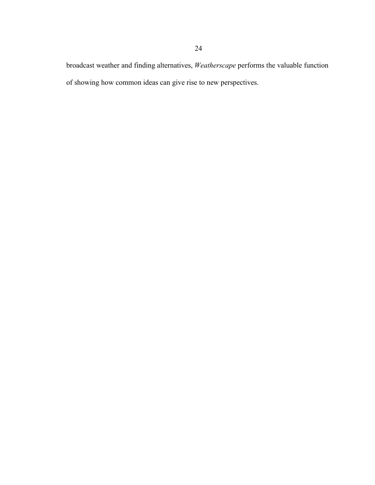broadcast weather and finding alternatives, *Weatherscape* performs the valuable function of showing how common ideas can give rise to new perspectives.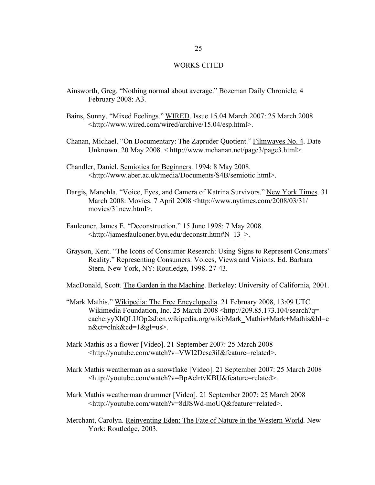### WORKS CITED

- Ainsworth, Greg. "Nothing normal about average." Bozeman Daily Chronicle. 4 February 2008: A3.
- Bains, Sunny. "Mixed Feelings." WIRED. Issue 15.04 March 2007: 25 March 2008 <http://www.wired.com/wired/archive/15.04/esp.html>.
- Chanan, Michael. "On Documentary: The Zapruder Quotient." Filmwaves No. 4. Date Unknown. 20 May 2008. < http://www.mchanan.net/page3/page3.html>.
- Chandler, Daniel. Semiotics for Beginners. 1994: 8 May 2008. <http://www.aber.ac.uk/media/Documents/S4B/semiotic.html>.
- Dargis, Manohla. "Voice, Eyes, and Camera of Katrina Survivors." New York Times. 31 March 2008: Movies. 7 April 2008 <http://www.nytimes.com/2008/03/31/ movies/31new.html>.
- Faulconer, James E. "Deconstruction." 15 June 1998: 7 May 2008. <http://jamesfaulconer.byu.edu/deconstr.htm#N\_13\_>.
- Grayson, Kent. "The Icons of Consumer Research: Using Signs to Represent Consumers' Reality." Representing Consumers: Voices, Views and Visions. Ed. Barbara Stern. New York, NY: Routledge, 1998. 27-43.

MacDonald, Scott. The Garden in the Machine. Berkeley: University of California, 2001.

- "Mark Mathis." Wikipedia: The Free Encyclopedia. 21 February 2008, 13:09 UTC. Wikimedia Foundation, Inc. 25 March 2008 <http://209.85.173.104/search?q= cache:yyXhQLUOp2sJ:en.wikipedia.org/wiki/Mark\_Mathis+Mark+Mathis&hl=e n&ct=clnk&cd=1&gl=us>.
- Mark Mathis as a flower [Video]. 21 September 2007: 25 March 2008 <http://youtube.com/watch?v=VWI2Dcsc3iI&feature=related>.
- Mark Mathis weatherman as a snowflake [Video]. 21 September 2007: 25 March 2008 <http://youtube.com/watch?v=BpAelrtvKBU&feature=related>.
- Mark Mathis weatherman drummer [Video]. 21 September 2007: 25 March 2008 <http://youtube.com/watch?v=8dJSWd-moUQ&feature=related>.
- Merchant, Carolyn. Reinventing Eden: The Fate of Nature in the Western World. New York: Routledge, 2003.